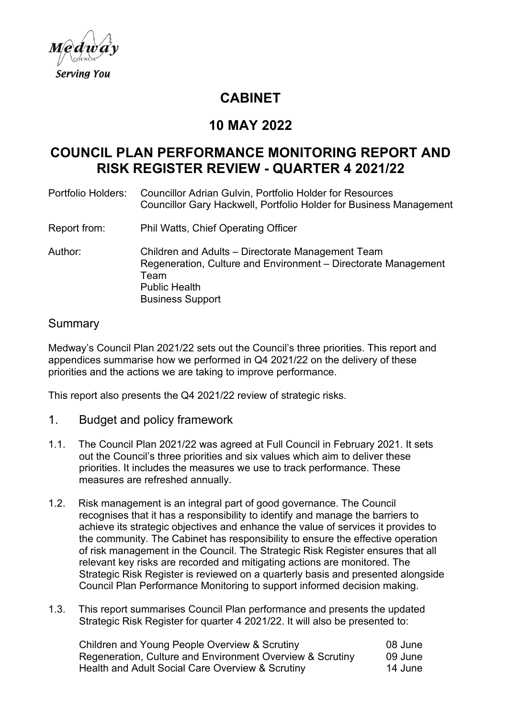

# **CABINET**

# **10 MAY 2022**

# **COUNCIL PLAN PERFORMANCE MONITORING REPORT AND RISK REGISTER REVIEW - QUARTER 4 2021/22**

| Portfolio Holders: | <b>Councillor Adrian Gulvin, Portfolio Holder for Resources</b><br>Councillor Gary Hackwell, Portfolio Holder for Business Management                                          |
|--------------------|--------------------------------------------------------------------------------------------------------------------------------------------------------------------------------|
| Report from:       | <b>Phil Watts, Chief Operating Officer</b>                                                                                                                                     |
| Author:            | Children and Adults - Directorate Management Team<br>Regeneration, Culture and Environment - Directorate Management<br>Team<br><b>Public Health</b><br><b>Business Support</b> |

## Summary

Medway's Council Plan 2021/22 sets out the Council's three priorities. This report and appendices summarise how we performed in Q4 2021/22 on the delivery of these priorities and the actions we are taking to improve performance.

This report also presents the Q4 2021/22 review of strategic risks.

- 1. Budget and policy framework
- 1.1. The Council Plan 2021/22 was agreed at Full Council in February 2021. It sets out the Council's three priorities and six values which aim to deliver these priorities. It includes the measures we use to track performance. These measures are refreshed annually.
- 1.2. Risk management is an integral part of good governance. The Council recognises that it has a responsibility to identify and manage the barriers to achieve its strategic objectives and enhance the value of services it provides to the community. The Cabinet has responsibility to ensure the effective operation of risk management in the Council. The Strategic Risk Register ensures that all relevant key risks are recorded and mitigating actions are monitored. The Strategic Risk Register is reviewed on a quarterly basis and presented alongside Council Plan Performance Monitoring to support informed decision making.
- 1.3. This report summarises Council Plan performance and presents the updated Strategic Risk Register for quarter 4 2021/22. It will also be presented to:

| Children and Young People Overview & Scrutiny             | 08 June |
|-----------------------------------------------------------|---------|
| Regeneration, Culture and Environment Overview & Scrutiny | 09 June |
| Health and Adult Social Care Overview & Scrutiny          | 14 June |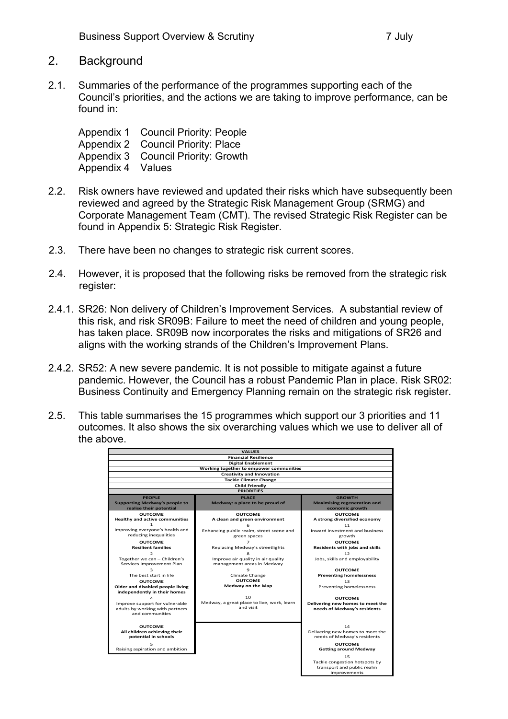#### 2. Background

2.1. Summaries of the performance of the programmes supporting each of the Council's priorities, and the actions we are taking to improve performance, can be found in:

Appendix 1 Council Priority: People Appendix 2 Council Priority: Place Appendix 3 Council Priority: Growth Appendix 4 Values

- 2.2. Risk owners have reviewed and updated their risks which have subsequently been reviewed and agreed by the Strategic Risk Management Group (SRMG) and Corporate Management Team (CMT). The revised Strategic Risk Register can be found in Appendix 5: Strategic Risk Register.
- 2.3. There have been no changes to strategic risk current scores.
- 2.4. However, it is proposed that the following risks be removed from the strategic risk register:
- 2.4.1. SR26: Non delivery of Children's Improvement Services. A substantial review of this risk, and risk SR09B: Failure to meet the need of children and young people, has taken place. SR09B now incorporates the risks and mitigations of SR26 and aligns with the working strands of the Children's Improvement Plans.
- 2.4.2. SR52: A new severe pandemic. It is not possible to mitigate against a future pandemic. However, the Council has a robust Pandemic Plan in place. Risk SR02: Business Continuity and Emergency Planning remain on the strategic risk register.
- 2.5. This table summarises the 15 programmes which support our 3 priorities and 11 outcomes. It also shows the six overarching values which we use to deliver all of the above.

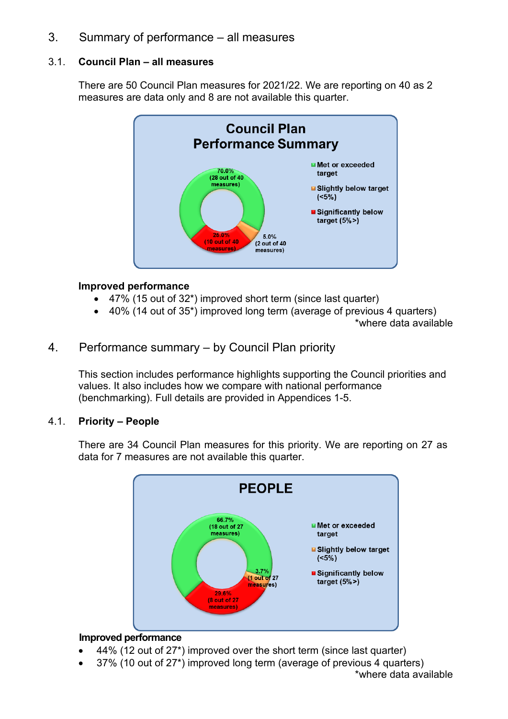## 3. Summary of performance – all measures

### 3.1. **Council Plan – all measures**

There are 50 Council Plan measures for 2021/22. We are reporting on 40 as 2 measures are data only and 8 are not available this quarter.



#### **Improved performance**

- 47% (15 out of 32\*) improved short term (since last quarter)
- 40% (14 out of 35\*) improved long term (average of previous 4 quarters)
	- \*where data available

## 4. Performance summary – by Council Plan priority

This section includes performance highlights supporting the Council priorities and values. It also includes how we compare with national performance (benchmarking). Full details are provided in Appendices 1-5.

## 4.1. **Priority – People**

There are 34 Council Plan measures for this priority. We are reporting on 27 as data for 7 measures are not available this quarter.



#### **Improved performance**

- 44% (12 out of 27\*) improved over the short term (since last quarter)
- 37% (10 out of 27\*) improved long term (average of previous 4 quarters)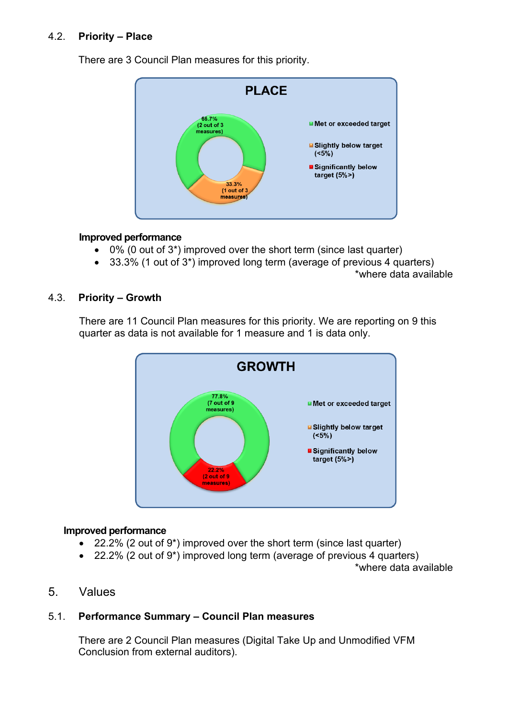## 4.2. **Priority – Place**

There are 3 Council Plan measures for this priority.



#### **Improved performance**

- 0% (0 out of 3\*) improved over the short term (since last quarter)
- 33.3% (1 out of 3\*) improved long term (average of previous 4 quarters)

#### 4.3. **Priority – Growth**

There are 11 Council Plan measures for this priority. We are reporting on 9 this quarter as data is not available for 1 measure and 1 is data only.



#### **Improved performance**

- 22.2% (2 out of 9\*) improved over the short term (since last quarter)
- 22.2% (2 out of 9\*) improved long term (average of previous 4 quarters)

\*where data available

## 5. Values

## 5.1. **Performance Summary – Council Plan measures**

There are 2 Council Plan measures (Digital Take Up and Unmodified VFM Conclusion from external auditors).

<sup>\*</sup>where data available